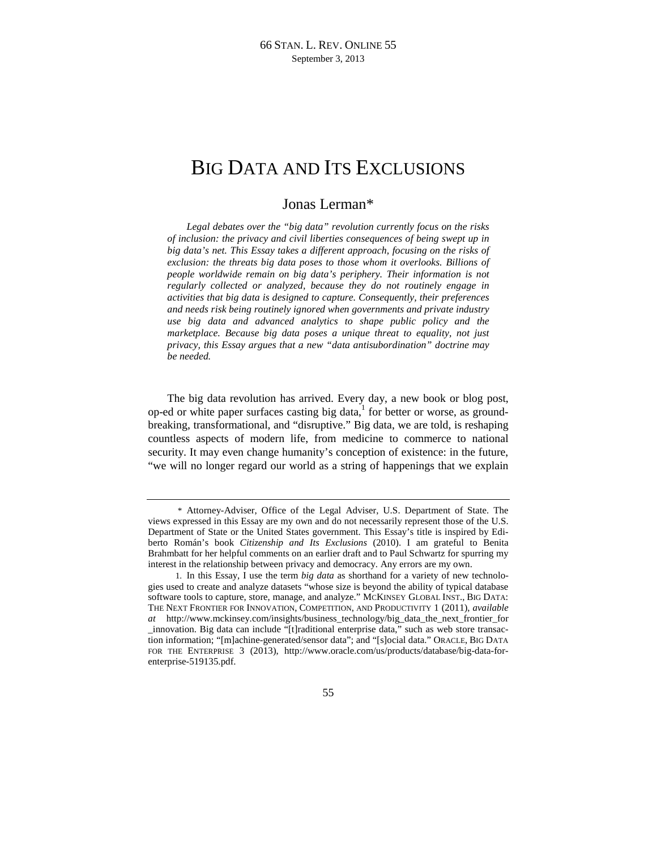## BIG DATA AND ITS EXCLUSIONS

## Jonas Lerman\*

*Legal debates over the "big data" revolution currently focus on the risks of inclusion: the privacy and civil liberties consequences of being swept up in big data's net. This Essay takes a different approach, focusing on the risks of exclusion: the threats big data poses to those whom it overlooks. Billions of people worldwide remain on big data's periphery. Their information is not regularly collected or analyzed, because they do not routinely engage in activities that big data is designed to capture. Consequently, their preferences and needs risk being routinely ignored when governments and private industry use big data and advanced analytics to shape public policy and the marketplace. Because big data poses a unique threat to equality, not just privacy, this Essay argues that a new "data antisubordination" doctrine may be needed.* 

The big data revolution has arrived. Every day, a new book or blog post, op-ed or white paper surfaces casting big data, $<sup>1</sup>$  for better or worse, as ground-</sup> breaking, transformational, and "disruptive." Big data, we are told, is reshaping countless aspects of modern life, from medicine to commerce to national security. It may even change humanity's conception of existence: in the future, "we will no longer regard our world as a string of happenings that we explain

 <sup>\*</sup> Attorney-Adviser, Office of the Legal Adviser, U.S. Department of State. The views expressed in this Essay are my own and do not necessarily represent those of the U.S. Department of State or the United States government. This Essay's title is inspired by Ediberto Román's book *Citizenship and Its Exclusions* (2010). I am grateful to Benita Brahmbatt for her helpful comments on an earlier draft and to Paul Schwartz for spurring my interest in the relationship between privacy and democracy. Any errors are my own.

 <sup>1.</sup> In this Essay, I use the term *big data* as shorthand for a variety of new technologies used to create and analyze datasets "whose size is beyond the ability of typical database software tools to capture, store, manage, and analyze." MCKINSEY GLOBAL INST., BIG DATA: THE NEXT FRONTIER FOR INNOVATION, COMPETITION, AND PRODUCTIVITY 1 (2011), *available at* http://www.mckinsey.com/insights/business\_technology/big\_data\_the\_next\_frontier\_for \_innovation. Big data can include "[t]raditional enterprise data," such as web store transaction information; "[m]achine-generated/sensor data"; and "[s]ocial data." ORACLE, BIG DATA FOR THE ENTERPRISE 3 (2013), http://www.oracle.com/us/products/database/big-data-forenterprise-519135.pdf.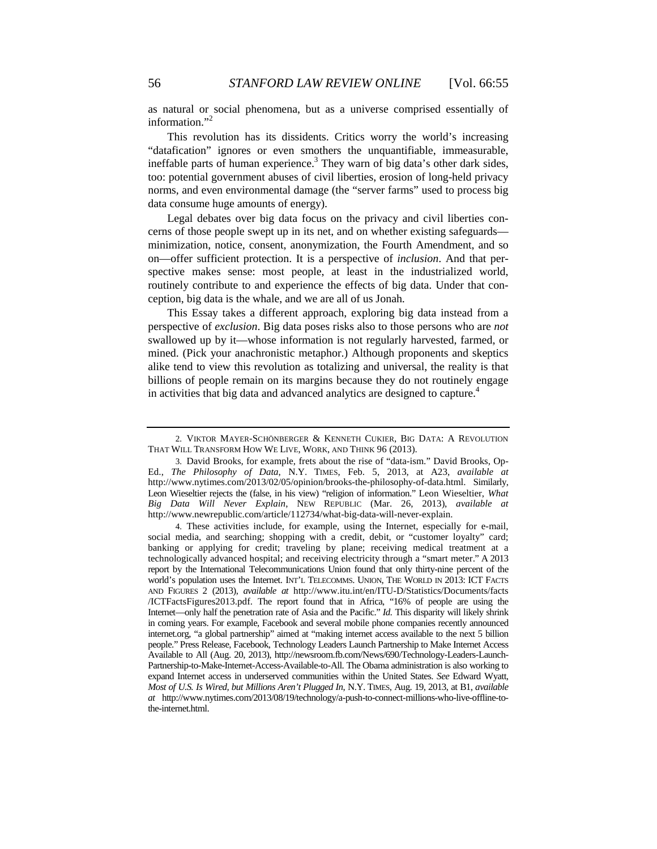as natural or social phenomena, but as a universe comprised essentially of information."<sup>2</sup>

This revolution has its dissidents. Critics worry the world's increasing "datafication" ignores or even smothers the unquantifiable, immeasurable, ineffable parts of human experience.<sup>3</sup> They warn of big data's other dark sides, too: potential government abuses of civil liberties, erosion of long-held privacy norms, and even environmental damage (the "server farms" used to process big data consume huge amounts of energy).

Legal debates over big data focus on the privacy and civil liberties concerns of those people swept up in its net, and on whether existing safeguards minimization, notice, consent, anonymization, the Fourth Amendment, and so on—offer sufficient protection. It is a perspective of *inclusion*. And that perspective makes sense: most people, at least in the industrialized world, routinely contribute to and experience the effects of big data. Under that conception, big data is the whale, and we are all of us Jonah.

This Essay takes a different approach, exploring big data instead from a perspective of *exclusion*. Big data poses risks also to those persons who are *not* swallowed up by it—whose information is not regularly harvested, farmed, or mined. (Pick your anachronistic metaphor.) Although proponents and skeptics alike tend to view this revolution as totalizing and universal, the reality is that billions of people remain on its margins because they do not routinely engage in activities that big data and advanced analytics are designed to capture.<sup>4</sup>

 <sup>2.</sup> VIKTOR MAYER-SCHÖNBERGER & KENNETH CUKIER, BIG DATA: A REVOLUTION THAT WILL TRANSFORM HOW WE LIVE, WORK, AND THINK 96 (2013).

 <sup>3.</sup> David Brooks, for example, frets about the rise of "data-ism." David Brooks, Op-Ed., *The Philosophy of Data*, N.Y. TIMES, Feb. 5, 2013, at A23, *available at*  http://www.nytimes.com/2013/02/05/opinion/brooks-the-philosophy-of-data.html. Similarly, Leon Wieseltier rejects the (false, in his view) "religion of information." Leon Wieseltier, *What Big Data Will Never Explain*, NEW REPUBLIC (Mar. 26, 2013), *available at* http://www.newrepublic.com/article/112734/what-big-data-will-never-explain.

 <sup>4.</sup> These activities include, for example, using the Internet, especially for e-mail, social media, and searching; shopping with a credit, debit, or "customer loyalty" card; banking or applying for credit; traveling by plane; receiving medical treatment at a technologically advanced hospital; and receiving electricity through a "smart meter." A 2013 report by the International Telecommunications Union found that only thirty-nine percent of the world's population uses the Internet. INT'L TELECOMMS. UNION, THE WORLD IN 2013: ICT FACTS AND FIGURES 2 (2013), *available at* http://www.itu.int/en/ITU-D/Statistics/Documents/facts /ICTFactsFigures2013.pdf. The report found that in Africa, "16% of people are using the Internet—only half the penetration rate of Asia and the Pacific." *Id.* This disparity will likely shrink in coming years. For example, Facebook and several mobile phone companies recently announced internet.org, "a global partnership" aimed at "making internet access available to the next 5 billion people." Press Release, Facebook, Technology Leaders Launch Partnership to Make Internet Access Available to All (Aug. 20, 2013), http://newsroom.fb.com/News/690/Technology-Leaders-Launch-Partnership-to-Make-Internet-Access-Available-to-All. The Obama administration is also working to expand Internet access in underserved communities within the United States. *See* Edward Wyatt, *Most of U.S. Is Wired, but Millions Aren't Plugged In*, N.Y. TIMES, Aug. 19, 2013, at B1, *available at* http://www.nytimes.com/2013/08/19/technology/a-push-to-connect-millions-who-live-offline-tothe-internet.html.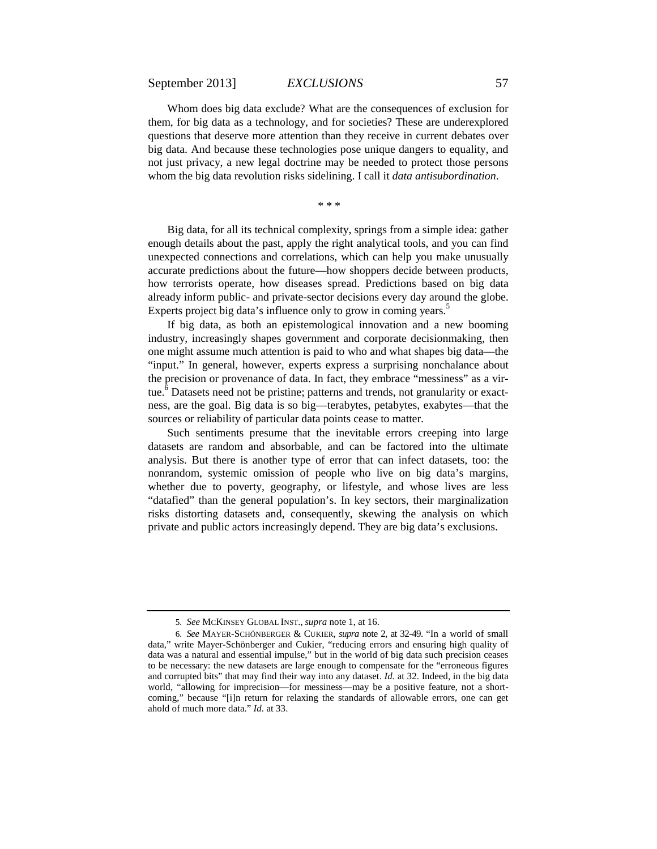September 2013] *EXCLUSIONS* 57

Whom does big data exclude? What are the consequences of exclusion for them, for big data as a technology, and for societies? These are underexplored questions that deserve more attention than they receive in current debates over big data. And because these technologies pose unique dangers to equality, and not just privacy, a new legal doctrine may be needed to protect those persons whom the big data revolution risks sidelining. I call it *data antisubordination*.

 $* * *$ 

Big data, for all its technical complexity, springs from a simple idea: gather enough details about the past, apply the right analytical tools, and you can find unexpected connections and correlations, which can help you make unusually accurate predictions about the future—how shoppers decide between products, how terrorists operate, how diseases spread. Predictions based on big data already inform public- and private-sector decisions every day around the globe. Experts project big data's influence only to grow in coming years. 5

If big data, as both an epistemological innovation and a new booming industry, increasingly shapes government and corporate decisionmaking, then one might assume much attention is paid to who and what shapes big data—the "input." In general, however, experts express a surprising nonchalance about the precision or provenance of data. In fact, they embrace "messiness" as a virtue.<sup>6</sup> Datasets need not be pristine; patterns and trends, not granularity or exactness, are the goal. Big data is so big—terabytes, petabytes, exabytes—that the sources or reliability of particular data points cease to matter.

Such sentiments presume that the inevitable errors creeping into large datasets are random and absorbable, and can be factored into the ultimate analysis. But there is another type of error that can infect datasets, too: the nonrandom, systemic omission of people who live on big data's margins, whether due to poverty, geography, or lifestyle, and whose lives are less "datafied" than the general population's. In key sectors, their marginalization risks distorting datasets and, consequently, skewing the analysis on which private and public actors increasingly depend. They are big data's exclusions.

 <sup>5.</sup> *See* MCKINSEY GLOBAL INST., *supra* note 1, at 16.

 <sup>6.</sup> *See* MAYER-SCHÖNBERGER & CUKIER, *supra* note 2, at 32-49. "In a world of small data," write Mayer-Schönberger and Cukier, "reducing errors and ensuring high quality of data was a natural and essential impulse," but in the world of big data such precision ceases to be necessary: the new datasets are large enough to compensate for the "erroneous figures and corrupted bits" that may find their way into any dataset. *Id.* at 32. Indeed, in the big data world, "allowing for imprecision—for messiness—may be a positive feature, not a shortcoming," because "[i]n return for relaxing the standards of allowable errors, one can get ahold of much more data." *Id.* at 33.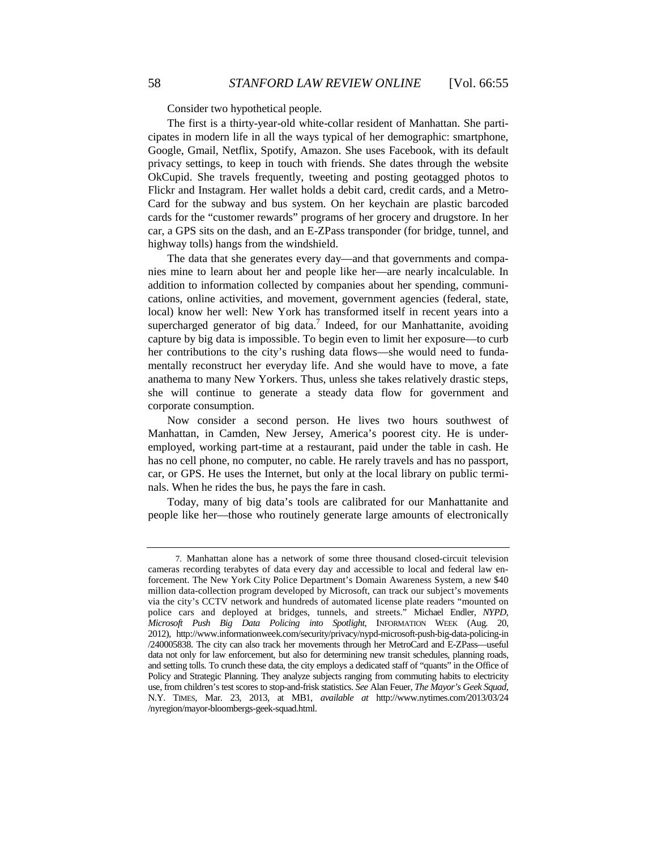Consider two hypothetical people.

The first is a thirty-year-old white-collar resident of Manhattan. She participates in modern life in all the ways typical of her demographic: smartphone, Google, Gmail, Netflix, Spotify, Amazon. She uses Facebook, with its default privacy settings, to keep in touch with friends. She dates through the website OkCupid. She travels frequently, tweeting and posting geotagged photos to Flickr and Instagram. Her wallet holds a debit card, credit cards, and a Metro-Card for the subway and bus system. On her keychain are plastic barcoded cards for the "customer rewards" programs of her grocery and drugstore. In her car, a GPS sits on the dash, and an E-ZPass transponder (for bridge, tunnel, and highway tolls) hangs from the windshield.

The data that she generates every day—and that governments and companies mine to learn about her and people like her—are nearly incalculable. In addition to information collected by companies about her spending, communications, online activities, and movement, government agencies (federal, state, local) know her well: New York has transformed itself in recent years into a supercharged generator of big data.<sup>7</sup> Indeed, for our Manhattanite, avoiding capture by big data is impossible. To begin even to limit her exposure—to curb her contributions to the city's rushing data flows—she would need to fundamentally reconstruct her everyday life. And she would have to move, a fate anathema to many New Yorkers. Thus, unless she takes relatively drastic steps, she will continue to generate a steady data flow for government and corporate consumption.

Now consider a second person. He lives two hours southwest of Manhattan, in Camden, New Jersey, America's poorest city. He is underemployed, working part-time at a restaurant, paid under the table in cash. He has no cell phone, no computer, no cable. He rarely travels and has no passport, car, or GPS. He uses the Internet, but only at the local library on public terminals. When he rides the bus, he pays the fare in cash.

Today, many of big data's tools are calibrated for our Manhattanite and people like her—those who routinely generate large amounts of electronically

 <sup>7.</sup> Manhattan alone has a network of some three thousand closed-circuit television cameras recording terabytes of data every day and accessible to local and federal law enforcement. The New York City Police Department's Domain Awareness System, a new \$40 million data-collection program developed by Microsoft, can track our subject's movements via the city's CCTV network and hundreds of automated license plate readers "mounted on police cars and deployed at bridges, tunnels, and streets." Michael Endler, *NYPD, Microsoft Push Big Data Policing into Spotlight*, INFORMATION WEEK (Aug. 20, 2012), http://www.informationweek.com/security/privacy/nypd-microsoft-push-big-data-policing-in /240005838. The city can also track her movements through her MetroCard and E-ZPass—useful data not only for law enforcement, but also for determining new transit schedules, planning roads, and setting tolls. To crunch these data, the city employs a dedicated staff of "quants" in the Office of Policy and Strategic Planning. They analyze subjects ranging from commuting habits to electricity use, from children's test scores to stop-and-frisk statistics. *See* Alan Feuer, *The Mayor's Geek Squad*, N.Y. TIMES, Mar. 23, 2013, at MB1, *available at* http://www.nytimes.com/2013/03/24 /nyregion/mayor-bloombergs-geek-squad.html.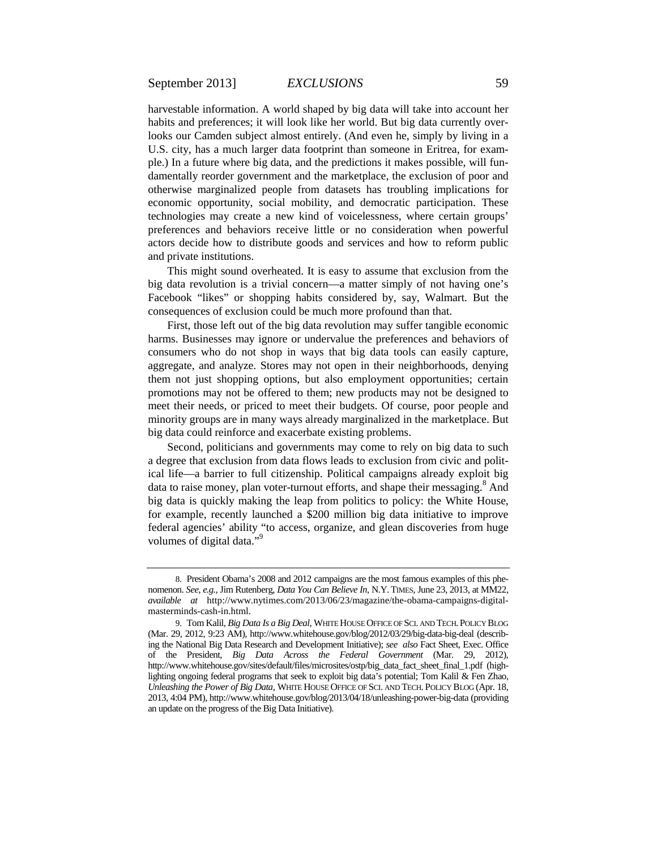harvestable information. A world shaped by big data will take into account her habits and preferences; it will look like her world. But big data currently overlooks our Camden subject almost entirely. (And even he, simply by living in a U.S. city, has a much larger data footprint than someone in Eritrea, for example.) In a future where big data, and the predictions it makes possible, will fundamentally reorder government and the marketplace, the exclusion of poor and otherwise marginalized people from datasets has troubling implications for economic opportunity, social mobility, and democratic participation. These technologies may create a new kind of voicelessness, where certain groups' preferences and behaviors receive little or no consideration when powerful actors decide how to distribute goods and services and how to reform public and private institutions.

This might sound overheated. It is easy to assume that exclusion from the big data revolution is a trivial concern—a matter simply of not having one's Facebook "likes" or shopping habits considered by, say, Walmart. But the consequences of exclusion could be much more profound than that.

First, those left out of the big data revolution may suffer tangible economic harms. Businesses may ignore or undervalue the preferences and behaviors of consumers who do not shop in ways that big data tools can easily capture, aggregate, and analyze. Stores may not open in their neighborhoods, denying them not just shopping options, but also employment opportunities; certain promotions may not be offered to them; new products may not be designed to meet their needs, or priced to meet their budgets. Of course, poor people and minority groups are in many ways already marginalized in the marketplace. But big data could reinforce and exacerbate existing problems.

Second, politicians and governments may come to rely on big data to such a degree that exclusion from data flows leads to exclusion from civic and political life—a barrier to full citizenship. Political campaigns already exploit big data to raise money, plan voter-turnout efforts, and shape their messaging.<sup>8</sup> And big data is quickly making the leap from politics to policy: the White House, for example, recently launched a \$200 million big data initiative to improve federal agencies' ability "to access, organize, and glean discoveries from huge volumes of digital data."<sup>9</sup>

 <sup>8.</sup> President Obama's 2008 and 2012 campaigns are the most famous examples of this phenomenon. *See, e.g.*, Jim Rutenberg, *Data You Can Believe In*, N.Y. TIMES, June 23, 2013, at MM22, *available at* http://www.nytimes.com/2013/06/23/magazine/the-obama-campaigns-digitalmasterminds-cash-in.html.

 <sup>9.</sup> Tom Kalil, *Big Data Is a Big Deal*, WHITE HOUSE OFFICE OF SCI. AND TECH.POLICY BLOG (Mar. 29, 2012, 9:23 AM), http://www.whitehouse.gov/blog/2012/03/29/big-data-big-deal (describing the National Big Data Research and Development Initiative); *see also* Fact Sheet, Exec. Office of the President, *Big Data Across the Federal Government* (Mar. 29, 2012), http://www.whitehouse.gov/sites/default/files/microsites/ostp/big\_data\_fact\_sheet\_final\_1.pdf (highlighting ongoing federal programs that seek to exploit big data's potential; Tom Kalil & Fen Zhao, *Unleashing the Power of Big Data*, WHITE HOUSE OFFICE OF SCI. AND TECH. POLICY BLOG (Apr. 18, 2013, 4:04 PM), http://www.whitehouse.gov/blog/2013/04/18/unleashing-power-big-data (providing an update on the progress of the Big Data Initiative).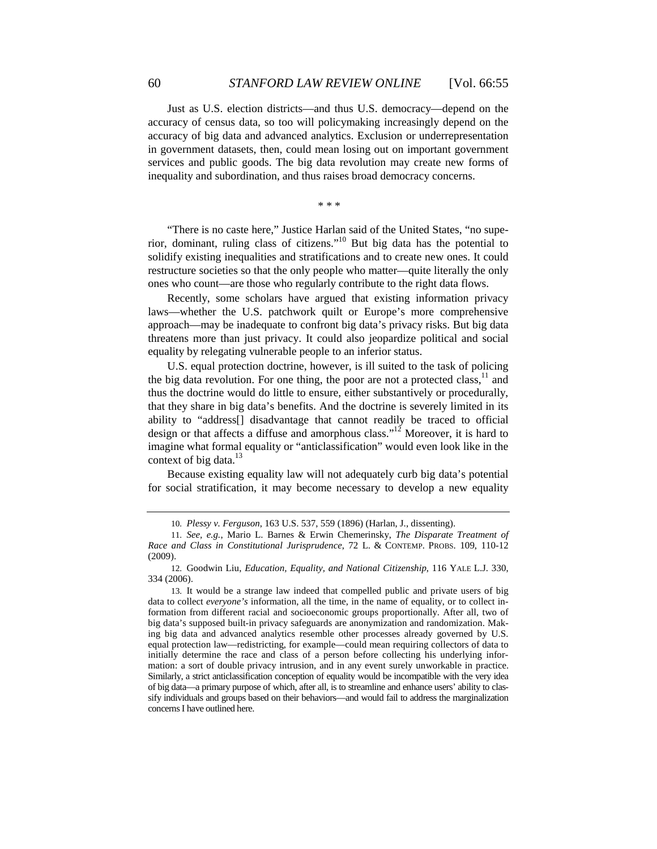Just as U.S. election districts—and thus U.S. democracy—depend on the accuracy of census data, so too will policymaking increasingly depend on the accuracy of big data and advanced analytics. Exclusion or underrepresentation in government datasets, then, could mean losing out on important government services and public goods. The big data revolution may create new forms of inequality and subordination, and thus raises broad democracy concerns.

 $* * *$ 

"There is no caste here," Justice Harlan said of the United States, "no superior, dominant, ruling class of citizens."<sup>10</sup> But big data has the potential to solidify existing inequalities and stratifications and to create new ones. It could restructure societies so that the only people who matter—quite literally the only ones who count—are those who regularly contribute to the right data flows.

Recently, some scholars have argued that existing information privacy laws—whether the U.S. patchwork quilt or Europe's more comprehensive approach—may be inadequate to confront big data's privacy risks. But big data threatens more than just privacy. It could also jeopardize political and social equality by relegating vulnerable people to an inferior status.

U.S. equal protection doctrine, however, is ill suited to the task of policing the big data revolution. For one thing, the poor are not a protected class,  $\frac{11}{11}$  and thus the doctrine would do little to ensure, either substantively or procedurally, that they share in big data's benefits. And the doctrine is severely limited in its ability to "address[] disadvantage that cannot readily be traced to official design or that affects a diffuse and amorphous class."<sup>12</sup> Moreover, it is hard to imagine what formal equality or "anticlassification" would even look like in the context of big data.<sup>13</sup>

Because existing equality law will not adequately curb big data's potential for social stratification, it may become necessary to develop a new equality

 <sup>10.</sup> *Plessy v. Ferguson*, 163 U.S. 537, 559 (1896) (Harlan, J., dissenting).

 <sup>11.</sup> *See, e.g.*, Mario L. Barnes & Erwin Chemerinsky, *The Disparate Treatment of Race and Class in Constitutional Jurisprudence*, 72 L. & CONTEMP. PROBS. 109, 110-12 (2009).

 <sup>12.</sup> Goodwin Liu, *Education, Equality, and National Citizenship*, 116 YALE L.J. 330, 334 (2006).

 <sup>13.</sup> It would be a strange law indeed that compelled public and private users of big data to collect *everyone's* information, all the time, in the name of equality, or to collect information from different racial and socioeconomic groups proportionally. After all, two of big data's supposed built-in privacy safeguards are anonymization and randomization. Making big data and advanced analytics resemble other processes already governed by U.S. equal protection law—redistricting, for example—could mean requiring collectors of data to initially determine the race and class of a person before collecting his underlying information: a sort of double privacy intrusion, and in any event surely unworkable in practice. Similarly, a strict anticlassification conception of equality would be incompatible with the very idea of big data—a primary purpose of which, after all, is to streamline and enhance users' ability to classify individuals and groups based on their behaviors—and would fail to address the marginalization concerns I have outlined here.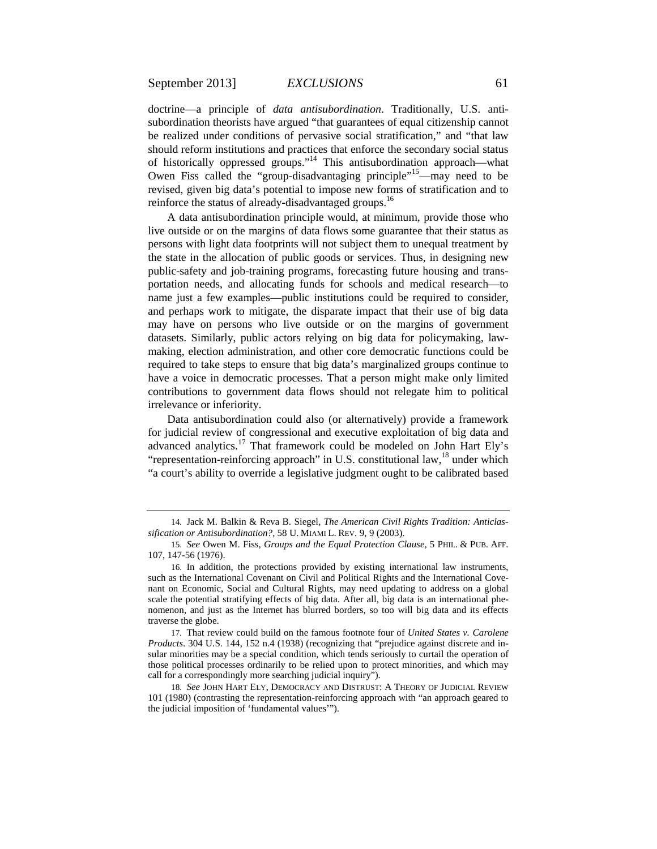September 2013] *EXCLUSIONS* 61

doctrine—a principle of *data antisubordination*. Traditionally, U.S. antisubordination theorists have argued "that guarantees of equal citizenship cannot be realized under conditions of pervasive social stratification," and "that law should reform institutions and practices that enforce the secondary social status of historically oppressed groups."<sup>14</sup> This antisubordination approach—what Owen Fiss called the "group-disadvantaging principle"<sup>15</sup>—may need to be revised, given big data's potential to impose new forms of stratification and to reinforce the status of already-disadvantaged groups.<sup>16</sup>

A data antisubordination principle would, at minimum, provide those who live outside or on the margins of data flows some guarantee that their status as persons with light data footprints will not subject them to unequal treatment by the state in the allocation of public goods or services. Thus, in designing new public-safety and job-training programs, forecasting future housing and transportation needs, and allocating funds for schools and medical research—to name just a few examples—public institutions could be required to consider, and perhaps work to mitigate, the disparate impact that their use of big data may have on persons who live outside or on the margins of government datasets. Similarly, public actors relying on big data for policymaking, lawmaking, election administration, and other core democratic functions could be required to take steps to ensure that big data's marginalized groups continue to have a voice in democratic processes. That a person might make only limited contributions to government data flows should not relegate him to political irrelevance or inferiority.

Data antisubordination could also (or alternatively) provide a framework for judicial review of congressional and executive exploitation of big data and advanced analytics.<sup>17</sup> That framework could be modeled on John Hart Ely's "representation-reinforcing approach" in U.S. constitutional law, $^{18}$  under which "a court's ability to override a legislative judgment ought to be calibrated based

 18. *See* JOHN HART ELY, DEMOCRACY AND DISTRUST: A THEORY OF JUDICIAL REVIEW 101 (1980) (contrasting the representation-reinforcing approach with "an approach geared to the judicial imposition of 'fundamental values'").

 <sup>14.</sup> Jack M. Balkin & Reva B. Siegel, *The American Civil Rights Tradition: Anticlassification or Antisubordination?*, 58 U. MIAMI L. REV. 9, 9 (2003).

 <sup>15.</sup> *See* Owen M. Fiss, *Groups and the Equal Protection Clause*, 5 PHIL. & PUB. AFF. 107, 147-56 (1976).

 <sup>16.</sup> In addition, the protections provided by existing international law instruments, such as the International Covenant on Civil and Political Rights and the International Covenant on Economic, Social and Cultural Rights, may need updating to address on a global scale the potential stratifying effects of big data. After all, big data is an international phenomenon, and just as the Internet has blurred borders, so too will big data and its effects traverse the globe.

 <sup>17.</sup> That review could build on the famous footnote four of *United States v. Carolene Products*. 304 U.S. 144, 152 n.4 (1938) (recognizing that "prejudice against discrete and insular minorities may be a special condition, which tends seriously to curtail the operation of those political processes ordinarily to be relied upon to protect minorities, and which may call for a correspondingly more searching judicial inquiry").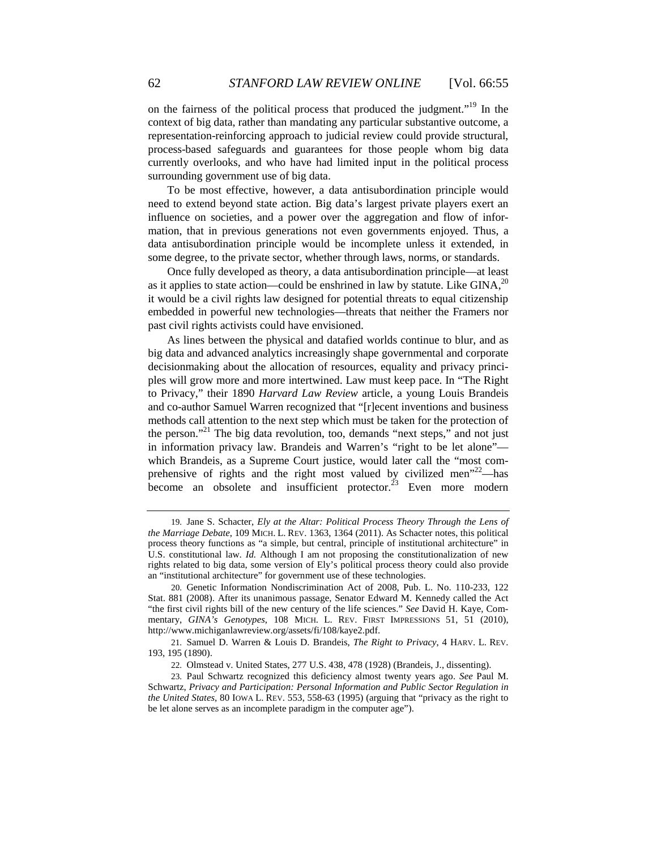on the fairness of the political process that produced the judgment."<sup>19</sup> In the context of big data, rather than mandating any particular substantive outcome, a representation-reinforcing approach to judicial review could provide structural, process-based safeguards and guarantees for those people whom big data currently overlooks, and who have had limited input in the political process surrounding government use of big data.

To be most effective, however, a data antisubordination principle would need to extend beyond state action. Big data's largest private players exert an influence on societies, and a power over the aggregation and flow of information, that in previous generations not even governments enjoyed. Thus, a data antisubordination principle would be incomplete unless it extended, in some degree, to the private sector, whether through laws, norms, or standards.

Once fully developed as theory, a data antisubordination principle—at least as it applies to state action—could be enshrined in law by statute. Like  $GINA$ ,<sup>20</sup> it would be a civil rights law designed for potential threats to equal citizenship embedded in powerful new technologies—threats that neither the Framers nor past civil rights activists could have envisioned.

As lines between the physical and datafied worlds continue to blur, and as big data and advanced analytics increasingly shape governmental and corporate decisionmaking about the allocation of resources, equality and privacy principles will grow more and more intertwined. Law must keep pace. In "The Right to Privacy," their 1890 *Harvard Law Review* article, a young Louis Brandeis and co-author Samuel Warren recognized that "[r]ecent inventions and business methods call attention to the next step which must be taken for the protection of the person."<sup>21</sup> The big data revolution, too, demands "next steps," and not just in information privacy law. Brandeis and Warren's "right to be let alone" which Brandeis, as a Supreme Court justice, would later call the "most comprehensive of rights and the right most valued by civilized men<sup>722</sup>—has become an obsolete and insufficient protector. $^{23}$  Even more modern

 <sup>19.</sup> Jane S. Schacter, *Ely at the Altar: Political Process Theory Through the Lens of the Marriage Debate*, 109 MICH. L. REV. 1363, 1364 (2011). As Schacter notes, this political process theory functions as "a simple, but central, principle of institutional architecture" in U.S. constitutional law. *Id.* Although I am not proposing the constitutionalization of new rights related to big data, some version of Ely's political process theory could also provide an "institutional architecture" for government use of these technologies.

 <sup>20.</sup> Genetic Information Nondiscrimination Act of 2008, Pub. L. No. 110-233, 122 Stat. 881 (2008). After its unanimous passage, Senator Edward M. Kennedy called the Act "the first civil rights bill of the new century of the life sciences." *See* David H. Kaye, Commentary, *GINA's Genotypes*, 108 MICH. L. REV. FIRST IMPRESSIONS 51, 51 (2010), http://www.michiganlawreview.org/assets/fi/108/kaye2.pdf.

 <sup>21.</sup> Samuel D. Warren & Louis D. Brandeis, *The Right to Privacy*, 4 HARV. L. REV. 193, 195 (1890).

 <sup>22.</sup> Olmstead v. United States, 277 U.S. 438, 478 (1928) (Brandeis, J., dissenting).

 <sup>23.</sup> Paul Schwartz recognized this deficiency almost twenty years ago. *See* Paul M. Schwartz, *Privacy and Participation: Personal Information and Public Sector Regulation in the United States*, 80 IOWA L. REV. 553, 558-63 (1995) (arguing that "privacy as the right to be let alone serves as an incomplete paradigm in the computer age").